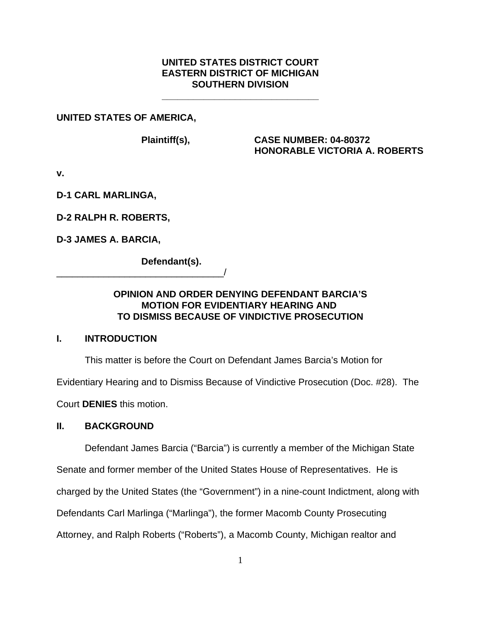## **UNITED STATES DISTRICT COURT EASTERN DISTRICT OF MICHIGAN SOUTHERN DIVISION**

**\_\_\_\_\_\_\_\_\_\_\_\_\_\_\_\_\_\_\_\_\_\_\_\_\_\_\_\_\_\_**

### **UNITED STATES OF AMERICA,**

**Plaintiff(s), CASE NUMBER: 04-80372 HONORABLE VICTORIA A. ROBERTS**

**v.**

**D-1 CARL MARLINGA,**

**D-2 RALPH R. ROBERTS,**

**D-3 JAMES A. BARCIA,**

**Defendant(s).**

\_\_\_\_\_\_\_\_\_\_\_\_\_\_\_\_\_\_\_\_\_\_\_\_\_\_\_\_\_\_\_\_/

# **OPINION AND ORDER DENYING DEFENDANT BARCIA'S MOTION FOR EVIDENTIARY HEARING AND TO DISMISS BECAUSE OF VINDICTIVE PROSECUTION**

# **I. INTRODUCTION**

This matter is before the Court on Defendant James Barcia's Motion for

Evidentiary Hearing and to Dismiss Because of Vindictive Prosecution (Doc. #28). The

Court **DENIES** this motion.

### **II. BACKGROUND**

Defendant James Barcia ("Barcia") is currently a member of the Michigan State

Senate and former member of the United States House of Representatives. He is

charged by the United States (the "Government") in a nine-count Indictment, along with

Defendants Carl Marlinga ("Marlinga"), the former Macomb County Prosecuting

Attorney, and Ralph Roberts ("Roberts"), a Macomb County, Michigan realtor and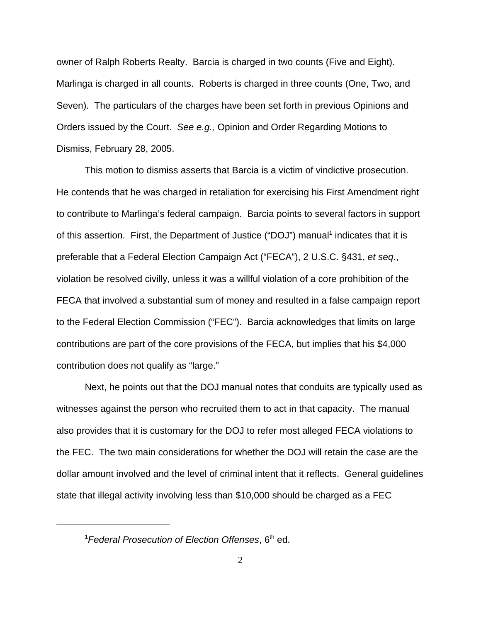owner of Ralph Roberts Realty. Barcia is charged in two counts (Five and Eight). Marlinga is charged in all counts. Roberts is charged in three counts (One, Two, and Seven). The particulars of the charges have been set forth in previous Opinions and Orders issued by the Court. *See e.g.,* Opinion and Order Regarding Motions to Dismiss, February 28, 2005.

This motion to dismiss asserts that Barcia is a victim of vindictive prosecution. He contends that he was charged in retaliation for exercising his First Amendment right to contribute to Marlinga's federal campaign. Barcia points to several factors in support of this assertion. First, the Department of Justice ("DOJ") manual<sup>1</sup> indicates that it is preferable that a Federal Election Campaign Act ("FECA"), 2 U.S.C. §431, *et seq*., violation be resolved civilly, unless it was a willful violation of a core prohibition of the FECA that involved a substantial sum of money and resulted in a false campaign report to the Federal Election Commission ("FEC"). Barcia acknowledges that limits on large contributions are part of the core provisions of the FECA, but implies that his \$4,000 contribution does not qualify as "large."

Next, he points out that the DOJ manual notes that conduits are typically used as witnesses against the person who recruited them to act in that capacity. The manual also provides that it is customary for the DOJ to refer most alleged FECA violations to the FEC. The two main considerations for whether the DOJ will retain the case are the dollar amount involved and the level of criminal intent that it reflects. General guidelines state that illegal activity involving less than \$10,000 should be charged as a FEC

<sup>&</sup>lt;sup>1</sup> Federal Prosecution of Election Offenses, 6<sup>th</sup> ed.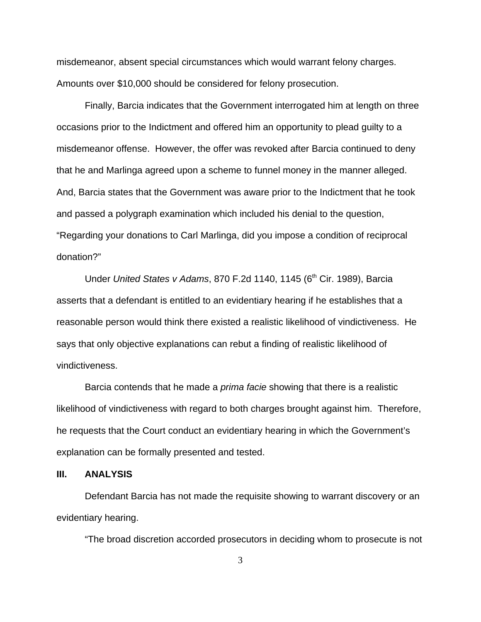misdemeanor, absent special circumstances which would warrant felony charges. Amounts over \$10,000 should be considered for felony prosecution.

Finally, Barcia indicates that the Government interrogated him at length on three occasions prior to the Indictment and offered him an opportunity to plead guilty to a misdemeanor offense. However, the offer was revoked after Barcia continued to deny that he and Marlinga agreed upon a scheme to funnel money in the manner alleged. And, Barcia states that the Government was aware prior to the Indictment that he took and passed a polygraph examination which included his denial to the question, "Regarding your donations to Carl Marlinga, did you impose a condition of reciprocal donation?"

Under *United States v Adams*, 870 F.2d 1140, 1145 (6<sup>th</sup> Cir. 1989), Barcia asserts that a defendant is entitled to an evidentiary hearing if he establishes that a reasonable person would think there existed a realistic likelihood of vindictiveness. He says that only objective explanations can rebut a finding of realistic likelihood of vindictiveness.

Barcia contends that he made a *prima facie* showing that there is a realistic likelihood of vindictiveness with regard to both charges brought against him. Therefore, he requests that the Court conduct an evidentiary hearing in which the Government's explanation can be formally presented and tested.

#### **III. ANALYSIS**

Defendant Barcia has not made the requisite showing to warrant discovery or an evidentiary hearing.

"The broad discretion accorded prosecutors in deciding whom to prosecute is not

3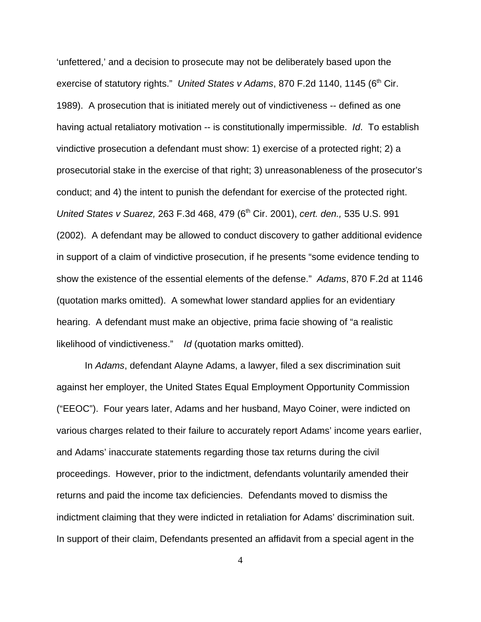'unfettered,' and a decision to prosecute may not be deliberately based upon the exercise of statutory rights." United States v Adams, 870 F.2d 1140, 1145 (6<sup>th</sup> Cir. 1989). A prosecution that is initiated merely out of vindictiveness -- defined as one having actual retaliatory motivation -- is constitutionally impermissible. *Id*. To establish vindictive prosecution a defendant must show: 1) exercise of a protected right; 2) a prosecutorial stake in the exercise of that right; 3) unreasonableness of the prosecutor's conduct; and 4) the intent to punish the defendant for exercise of the protected right. *United States v Suarez, 263 F.3d 468, 479 (6<sup>th</sup> Cir. 2001), <i>cert. den., 535 U.S. 991* (2002). A defendant may be allowed to conduct discovery to gather additional evidence in support of a claim of vindictive prosecution, if he presents "some evidence tending to show the existence of the essential elements of the defense." *Adams*, 870 F.2d at 1146 (quotation marks omitted). A somewhat lower standard applies for an evidentiary hearing. A defendant must make an objective, prima facie showing of "a realistic likelihood of vindictiveness." *Id* (quotation marks omitted).

In *Adams*, defendant Alayne Adams, a lawyer, filed a sex discrimination suit against her employer, the United States Equal Employment Opportunity Commission ("EEOC"). Four years later, Adams and her husband, Mayo Coiner, were indicted on various charges related to their failure to accurately report Adams' income years earlier, and Adams' inaccurate statements regarding those tax returns during the civil proceedings. However, prior to the indictment, defendants voluntarily amended their returns and paid the income tax deficiencies. Defendants moved to dismiss the indictment claiming that they were indicted in retaliation for Adams' discrimination suit. In support of their claim, Defendants presented an affidavit from a special agent in the

4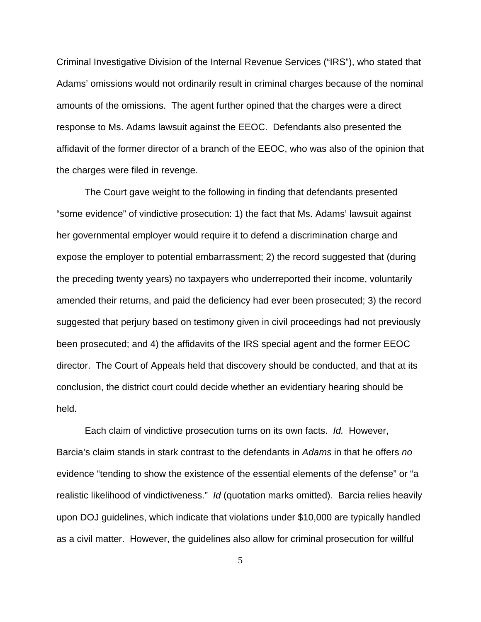Criminal Investigative Division of the Internal Revenue Services ("IRS"), who stated that Adams' omissions would not ordinarily result in criminal charges because of the nominal amounts of the omissions. The agent further opined that the charges were a direct response to Ms. Adams lawsuit against the EEOC. Defendants also presented the affidavit of the former director of a branch of the EEOC, who was also of the opinion that the charges were filed in revenge.

The Court gave weight to the following in finding that defendants presented "some evidence" of vindictive prosecution: 1) the fact that Ms. Adams' lawsuit against her governmental employer would require it to defend a discrimination charge and expose the employer to potential embarrassment; 2) the record suggested that (during the preceding twenty years) no taxpayers who underreported their income, voluntarily amended their returns, and paid the deficiency had ever been prosecuted; 3) the record suggested that perjury based on testimony given in civil proceedings had not previously been prosecuted; and 4) the affidavits of the IRS special agent and the former EEOC director. The Court of Appeals held that discovery should be conducted, and that at its conclusion, the district court could decide whether an evidentiary hearing should be held.

Each claim of vindictive prosecution turns on its own facts. *Id.* However, Barcia's claim stands in stark contrast to the defendants in *Adams* in that he offers *no* evidence "tending to show the existence of the essential elements of the defense" or "a realistic likelihood of vindictiveness." *Id* (quotation marks omitted). Barcia relies heavily upon DOJ guidelines, which indicate that violations under \$10,000 are typically handled as a civil matter. However, the guidelines also allow for criminal prosecution for willful

5